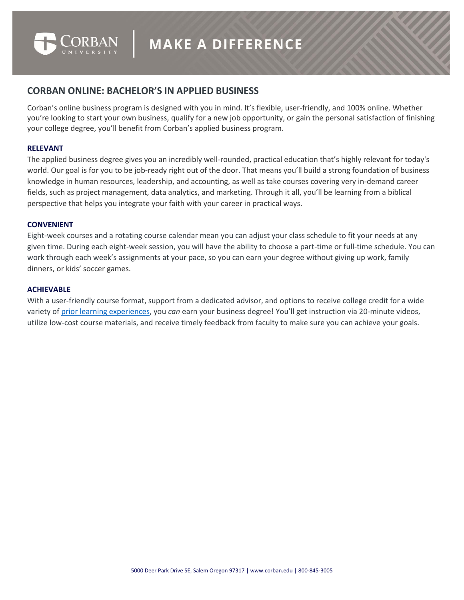

# **CORBAN ONLINE: BACHELOR'S IN APPLIED BUSINESS**

Corban's online business program is designed with you in mind. It's flexible, user-friendly, and 100% online. Whether you're looking to start your own business, qualify for a new job opportunity, or gain the personal satisfaction of finishing your college degree, you'll benefit from Corban's applied business program.

#### **RELEVANT**

The applied business degree gives you an incredibly well-rounded, practical education that's highly relevant for today's world. Our goal is for you to be job-ready right out of the door. That means you'll build a strong foundation of business knowledge in human resources, leadership, and accounting, as well as take courses covering very in-demand career fields, such as project management, data analytics, and marketing. Through it all, you'll be learning from a biblical perspective that helps you integrate your faith with your career in practical ways.

## **CONVENIENT**

Eight-week courses and a rotating course calendar mean you can adjust your class schedule to fit your needs at any given time. During each eight-week session, you will have the ability to choose a part-time or full-time schedule. You can work through each week's assignments at your pace, so you can earn your degree without giving up work, family dinners, or kids' soccer games.

#### **ACHIEVABLE**

With a user-friendly course format, support from a dedicated advisor, and options to receive college credit for a wide variety of [prior learning experiences,](https://www.corban.edu/academics/online-programs/prior-learning-assessment/) you *can* earn your business degree! You'll get instruction via 20-minute videos, utilize low-cost course materials, and receive timely feedback from faculty to make sure you can achieve your goals.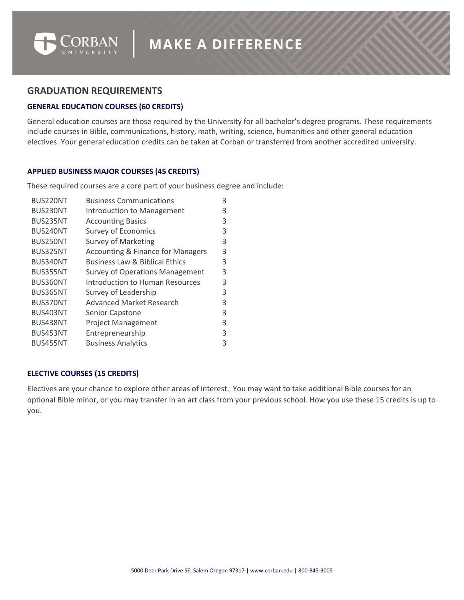

# **GRADUATION REQUIREMENTS**

## **GENERAL EDUCATION COURSES (60 CREDITS)**

General education courses are those required by the University for all bachelor's degree programs. These requirements include courses in Bible, communications, history, math, writing, science, humanities and other general education electives. Your general education credits can be taken at Corban or transferred from another accredited university.

## **APPLIED BUSINESS MAJOR COURSES (45 CREDITS)**

These required courses are a core part of your business degree and include:

| BUS220NT        | <b>Business Communications</b>               | 3 |
|-----------------|----------------------------------------------|---|
| BUS230NT        | Introduction to Management                   | 3 |
| BUS235NT        | <b>Accounting Basics</b>                     | 3 |
| BUS240NT        | <b>Survey of Economics</b>                   | 3 |
| BUS250NT        | <b>Survey of Marketing</b>                   | 3 |
| BUS325NT        | <b>Accounting &amp; Finance for Managers</b> | 3 |
| BUS340NT        | <b>Business Law &amp; Biblical Ethics</b>    | 3 |
| BUS355NT        | <b>Survey of Operations Management</b>       | 3 |
| BUS360NT        | Introduction to Human Resources              | 3 |
| BUS365NT        | Survey of Leadership                         | 3 |
| BUS370NT        | <b>Advanced Market Research</b>              | 3 |
| <b>BUS403NT</b> | Senior Capstone                              | 3 |
| BUS438NT        | <b>Project Management</b>                    | 3 |
| BUS453NT        | Entrepreneurship                             | 3 |
| <b>BUS455NT</b> | <b>Business Analytics</b>                    | 3 |
|                 |                                              |   |

## **ELECTIVE COURSES (15 CREDITS)**

Electives are your chance to explore other areas of interest. You may want to take additional Bible courses for an optional Bible minor, or you may transfer in an art class from your previous school. How you use these 15 credits is up to you.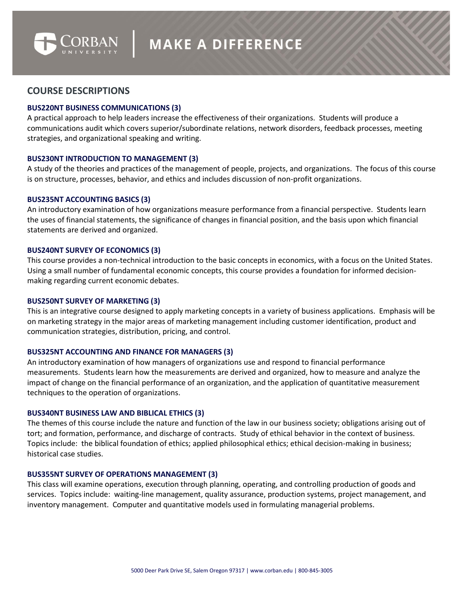

# **COURSE DESCRIPTIONS**

#### **BUS220NT BUSINESS COMMUNICATIONS (3)**

A practical approach to help leaders increase the effectiveness of their organizations. Students will produce a communications audit which covers superior/subordinate relations, network disorders, feedback processes, meeting strategies, and organizational speaking and writing.

#### **BUS230NT INTRODUCTION TO MANAGEMENT (3)**

A study of the theories and practices of the management of people, projects, and organizations. The focus of this course is on structure, processes, behavior, and ethics and includes discussion of non-profit organizations.

#### **BUS235NT ACCOUNTING BASICS (3)**

An introductory examination of how organizations measure performance from a financial perspective. Students learn the uses of financial statements, the significance of changes in financial position, and the basis upon which financial statements are derived and organized.

#### **BUS240NT SURVEY OF ECONOMICS (3)**

This course provides a non-technical introduction to the basic concepts in economics, with a focus on the United States. Using a small number of fundamental economic concepts, this course provides a foundation for informed decisionmaking regarding current economic debates.

#### **BUS250NT SURVEY OF MARKETING (3)**

This is an integrative course designed to apply marketing concepts in a variety of business applications. Emphasis will be on marketing strategy in the major areas of marketing management including customer identification, product and communication strategies, distribution, pricing, and control.

#### **BUS325NT ACCOUNTING AND FINANCE FOR MANAGERS (3)**

An introductory examination of how managers of organizations use and respond to financial performance measurements. Students learn how the measurements are derived and organized, how to measure and analyze the impact of change on the financial performance of an organization, and the application of quantitative measurement techniques to the operation of organizations.

## **BUS340NT BUSINESS LAW AND BIBLICAL ETHICS (3)**

The themes of this course include the nature and function of the law in our business society; obligations arising out of tort; and formation, performance, and discharge of contracts. Study of ethical behavior in the context of business. Topics include: the biblical foundation of ethics; applied philosophical ethics; ethical decision-making in business; historical case studies.

#### **BUS355NT SURVEY OF OPERATIONS MANAGEMENT (3)**

This class will examine operations, execution through planning, operating, and controlling production of goods and services. Topics include: waiting-line management, quality assurance, production systems, project management, and inventory management. Computer and quantitative models used in formulating managerial problems.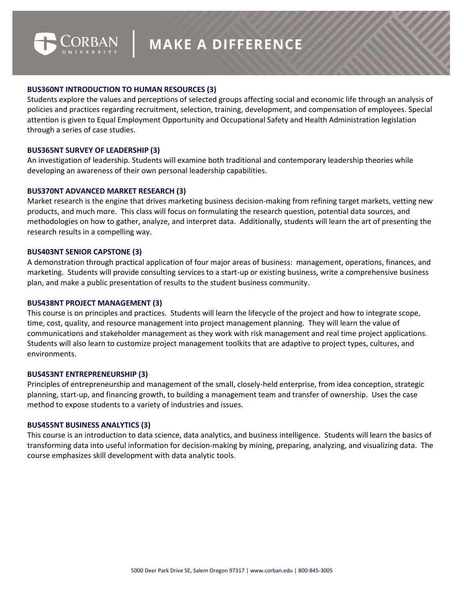

## **BUS360NT INTRODUCTION TO HUMAN RESOURCES (3)**

Students explore the values and perceptions of selected groups affecting social and economic life through an analysis of policies and practices regarding recruitment, selection, training, development, and compensation of employees. Special attention is given to Equal Employment Opportunity and Occupational Safety and Health Administration legislation through a series of case studies.

## **BUS365NT SURVEY OF LEADERSHIP (3)**

An investigation of leadership. Students will examine both traditional and contemporary leadership theories while developing an awareness of their own personal leadership capabilities.

## **BUS370NT ADVANCED MARKET RESEARCH (3)**

Market research is the engine that drives marketing business decision-making from refining target markets, vetting new products, and much more. This class will focus on formulating the research question, potential data sources, and methodologies on how to gather, analyze, and interpret data. Additionally, students will learn the art of presenting the research results in a compelling way.

## **BUS403NT SENIOR CAPSTONE (3)**

A demonstration through practical application of four major areas of business: management, operations, finances, and marketing. Students will provide consulting services to a start-up or existing business, write a comprehensive business plan, and make a public presentation of results to the student business community.

## **BUS438NT PROJECT MANAGEMENT (3)**

This course is on principles and practices. Students will learn the lifecycle of the project and how to integrate scope, time, cost, quality, and resource management into project management planning. They will learn the value of communications and stakeholder management as they work with risk management and real time project applications. Students will also learn to customize project management toolkits that are adaptive to project types, cultures, and environments.

## **BUS453NT ENTREPRENEURSHIP (3)**

Principles of entrepreneurship and management of the small, closely-held enterprise, from idea conception, strategic planning, start-up, and financing growth, to building a management team and transfer of ownership. Uses the case method to expose students to a variety of industries and issues.

## **BUS455NT BUSINESS ANALYTICS (3)**

This course is an introduction to data science, data analytics, and business intelligence. Students will learn the basics of transforming data into useful information for decision-making by mining, preparing, analyzing, and visualizing data. The course emphasizes skill development with data analytic tools.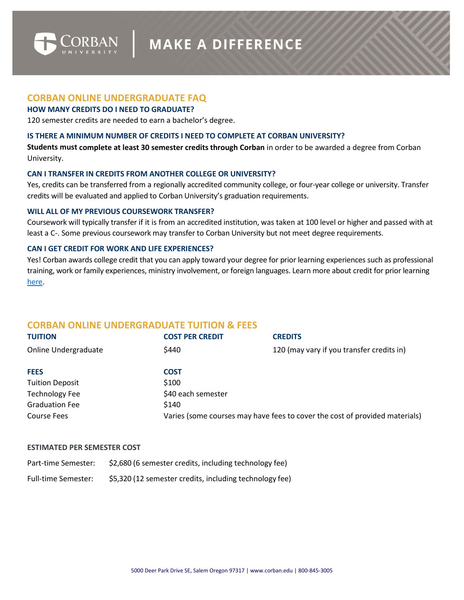

## **CORBAN ONLINE UNDERGRADUATE FAQ**

## **HOW MANY CREDITS DO I NEED TO GRADUATE?**

120 semester credits are needed to earn a bachelor's degree.

#### **IS THERE A MINIMUM NUMBER OF CREDITS I NEED TO COMPLETE AT CORBAN UNIVERSITY?**

**Students must complete at least 30 semester credits through Corban** in order to be awarded a degree from Corban University.

#### **CAN I TRANSFER IN CREDITS FROM ANOTHER COLLEGE OR UNIVERSITY?**

Yes, credits can be transferred from a regionally accredited community college, or four-year college or university. Transfer credits will be evaluated and applied to Corban University's graduation requirements.

#### **WILL ALL OF MY PREVIOUS COURSEWORK TRANSFER?**

Coursework will typically transfer if it is from an accredited institution, was taken at 100 level or higher and passed with at least a C-. Some previous coursework may transfer to Corban University but not meet degree requirements.

#### **CAN I GET CREDIT FOR WORK AND LIFE EXPERIENCES?**

Yes! Corban awards college credit that you can apply toward your degree for prior learning experiences such as professional training, work or family experiences, ministry involvement, or foreign languages. Learn more about credit for prior learning [here.](https://www.corban.edu/academics/online-programs/prior-learning-assessment/)

# **CORBAN ONLINE UNDERGRADUATE TUITION & FEES**

| <b>TUITION</b>              | <b>COST PER CREDIT</b>                                                      | <b>CREDITS</b>                            |  |
|-----------------------------|-----------------------------------------------------------------------------|-------------------------------------------|--|
| <b>Online Undergraduate</b> | \$440                                                                       | 120 (may vary if you transfer credits in) |  |
| <b>FEES</b>                 | <b>COST</b>                                                                 |                                           |  |
| <b>Tuition Deposit</b>      | \$100                                                                       |                                           |  |
| <b>Technology Fee</b>       | \$40 each semester                                                          |                                           |  |
| <b>Graduation Fee</b>       | \$140                                                                       |                                           |  |
| <b>Course Fees</b>          | Varies (some courses may have fees to cover the cost of provided materials) |                                           |  |

#### **ESTIMATED PER SEMESTER COST**

Part-time Semester: \$2,680 (6 semester credits, including technology fee)

Full-time Semester: \$5,320 (12 semester credits, including technology fee)